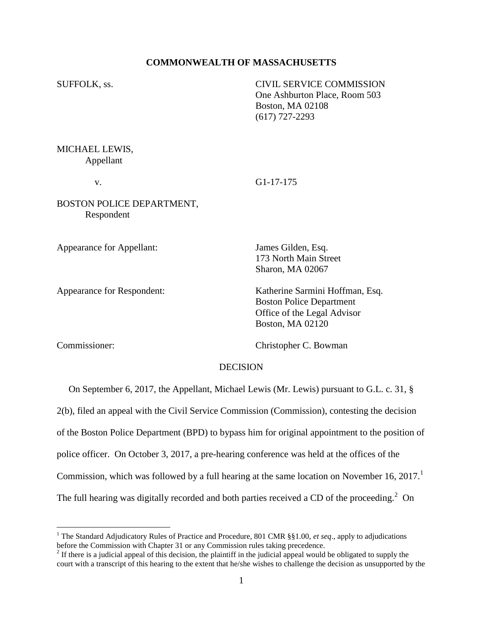## **COMMONWEALTH OF MASSACHUSETTS**

SUFFOLK, ss. CIVIL SERVICE COMMISSION One Ashburton Place, Room 503 Boston, MA 02108 (617) 727-2293

MICHAEL LEWIS, Appellant

v. G1-17-175

BOSTON POLICE DEPARTMENT, Respondent

Appearance for Appellant: James Gilden, Esq.

173 North Main Street Sharon, MA 02067

Appearance for Respondent: Katherine Sarmini Hoffman, Esq. Boston Police Department Office of the Legal Advisor Boston, MA 02120

 $\overline{a}$ 

Commissioner: Christopher C. Bowman

### DECISION

On September 6, 2017, the Appellant, Michael Lewis (Mr. Lewis) pursuant to G.L. c. 31, §

2(b), filed an appeal with the Civil Service Commission (Commission), contesting the decision

of the Boston Police Department (BPD) to bypass him for original appointment to the position of

police officer. On October 3, 2017, a pre-hearing conference was held at the offices of the

Commission, which was followed by a full hearing at the same location on November 16, 2017.<sup>1</sup>

The full hearing was digitally recorded and both parties received a CD of the proceeding.<sup>2</sup> On

<sup>1</sup> The Standard Adjudicatory Rules of Practice and Procedure, 801 CMR §§1.00, *et seq*., apply to adjudications before the Commission with Chapter 31 or any Commission rules taking precedence.

 $2<sup>2</sup>$  If there is a judicial appeal of this decision, the plaintiff in the judicial appeal would be obligated to supply the court with a transcript of this hearing to the extent that he/she wishes to challenge the decision as unsupported by the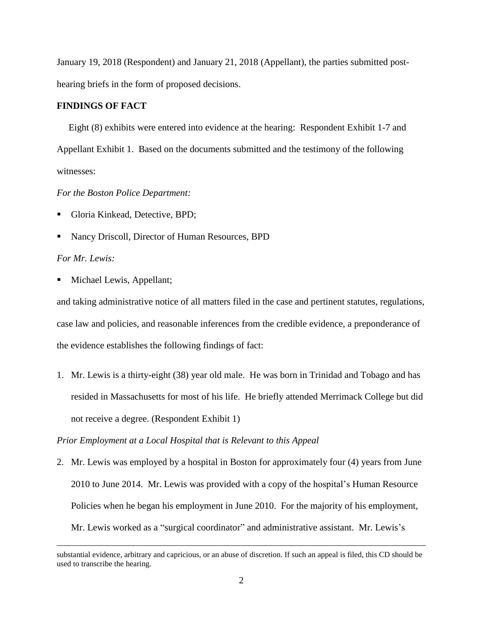January 19, 2018 (Respondent) and January 21, 2018 (Appellant), the parties submitted posthearing briefs in the form of proposed decisions.

# **FINDINGS OF FACT**

 Eight (8) exhibits were entered into evidence at the hearing: Respondent Exhibit 1-7 and Appellant Exhibit 1. Based on the documents submitted and the testimony of the following witnesses:

## *For the Boston Police Department:*

- Gloria Kinkead, Detective, BPD;
- Nancy Driscoll, Director of Human Resources, BPD

# *For Mr. Lewis:*

 $\overline{a}$ 

Michael Lewis, Appellant;

and taking administrative notice of all matters filed in the case and pertinent statutes, regulations, case law and policies, and reasonable inferences from the credible evidence, a preponderance of the evidence establishes the following findings of fact:

1. Mr. Lewis is a thirty-eight (38) year old male. He was born in Trinidad and Tobago and has resided in Massachusetts for most of his life. He briefly attended Merrimack College but did not receive a degree. (Respondent Exhibit 1)

## *Prior Employment at a Local Hospital that is Relevant to this Appeal*

2. Mr. Lewis was employed by a hospital in Boston for approximately four (4) years from June 2010 to June 2014. Mr. Lewis was provided with a copy of the hospital's Human Resource Policies when he began his employment in June 2010. For the majority of his employment, Mr. Lewis worked as a "surgical coordinator" and administrative assistant. Mr. Lewis's

substantial evidence, arbitrary and capricious, or an abuse of discretion. If such an appeal is filed, this CD should be used to transcribe the hearing.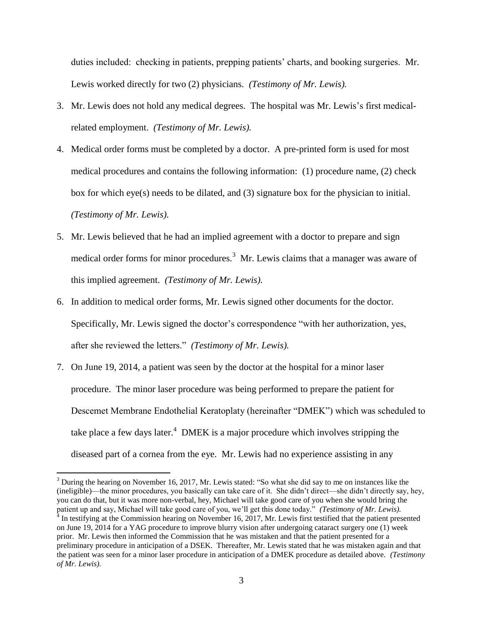duties included: checking in patients, prepping patients' charts, and booking surgeries. Mr. Lewis worked directly for two (2) physicians. *(Testimony of Mr. Lewis).*

- 3. Mr. Lewis does not hold any medical degrees. The hospital was Mr. Lewis's first medicalrelated employment. *(Testimony of Mr. Lewis).*
- 4. Medical order forms must be completed by a doctor. A pre-printed form is used for most medical procedures and contains the following information: (1) procedure name, (2) check box for which eye(s) needs to be dilated, and (3) signature box for the physician to initial. *(Testimony of Mr. Lewis).*
- 5. Mr. Lewis believed that he had an implied agreement with a doctor to prepare and sign medical order forms for minor procedures.<sup>3</sup> Mr. Lewis claims that a manager was aware of this implied agreement. *(Testimony of Mr. Lewis).*
- 6. In addition to medical order forms, Mr. Lewis signed other documents for the doctor. Specifically, Mr. Lewis signed the doctor's correspondence "with her authorization, yes, after she reviewed the letters." *(Testimony of Mr. Lewis).*
- 7. On June 19, 2014, a patient was seen by the doctor at the hospital for a minor laser procedure. The minor laser procedure was being performed to prepare the patient for Descemet Membrane Endothelial Keratoplaty (hereinafter "DMEK") which was scheduled to take place a few days later.<sup>4</sup> DMEK is a major procedure which involves stripping the diseased part of a cornea from the eye. Mr. Lewis had no experience assisting in any

 $\overline{a}$ 

<sup>&</sup>lt;sup>3</sup> During the hearing on November 16, 2017, Mr. Lewis stated: "So what she did say to me on instances like the (ineligible)—the minor procedures, you basically can take care of it. She didn't direct—she didn't directly say, hey, you can do that, but it was more non-verbal, hey, Michael will take good care of you when she would bring the

patient up and say, Michael will take good care of you, we'll get this done today." (Testimony of Mr. Lewis).<br><sup>4</sup> In testifying at the Commission hearing on November 16, 2017, Mr. Lewis first testified that the patient pre on June 19, 2014 for a YAG procedure to improve blurry vision after undergoing cataract surgery one (1) week prior. Mr. Lewis then informed the Commission that he was mistaken and that the patient presented for a preliminary procedure in anticipation of a DSEK. Thereafter, Mr. Lewis stated that he was mistaken again and that the patient was seen for a minor laser procedure in anticipation of a DMEK procedure as detailed above. *(Testimony of Mr. Lewis).*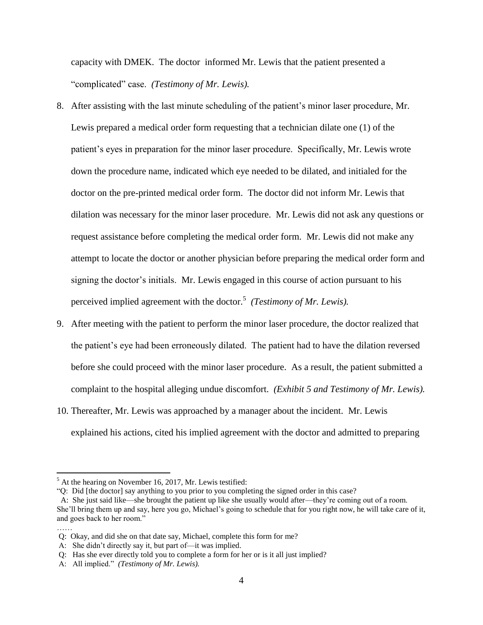capacity with DMEK. The doctor informed Mr. Lewis that the patient presented a "complicated" case. *(Testimony of Mr. Lewis).*

- 8. After assisting with the last minute scheduling of the patient's minor laser procedure, Mr. Lewis prepared a medical order form requesting that a technician dilate one (1) of the patient's eyes in preparation for the minor laser procedure. Specifically, Mr. Lewis wrote down the procedure name, indicated which eye needed to be dilated, and initialed for the doctor on the pre-printed medical order form. The doctor did not inform Mr. Lewis that dilation was necessary for the minor laser procedure. Mr. Lewis did not ask any questions or request assistance before completing the medical order form. Mr. Lewis did not make any attempt to locate the doctor or another physician before preparing the medical order form and signing the doctor's initials. Mr. Lewis engaged in this course of action pursuant to his perceived implied agreement with the doctor.<sup>5</sup> (Testimony of Mr. Lewis).
- 9. After meeting with the patient to perform the minor laser procedure, the doctor realized that the patient's eye had been erroneously dilated. The patient had to have the dilation reversed before she could proceed with the minor laser procedure. As a result, the patient submitted a complaint to the hospital alleging undue discomfort. *(Exhibit 5 and Testimony of Mr. Lewis).*
- 10. Thereafter, Mr. Lewis was approached by a manager about the incident. Mr. Lewis explained his actions, cited his implied agreement with the doctor and admitted to preparing

 $\overline{a}$ 

 $<sup>5</sup>$  At the hearing on November 16, 2017, Mr. Lewis testified:</sup>

<sup>&</sup>quot;Q: Did [the doctor] say anything to you prior to you completing the signed order in this case?

A: She just said like—she brought the patient up like she usually would after—they're coming out of a room. She'll bring them up and say, here you go, Michael's going to schedule that for you right now, he will take care of it, and goes back to her room." ……

Q: Okay, and did she on that date say, Michael, complete this form for me?

A: She didn't directly say it, but part of—it was implied.

Q: Has she ever directly told you to complete a form for her or is it all just implied?

A: All implied." *(Testimony of Mr. Lewis).*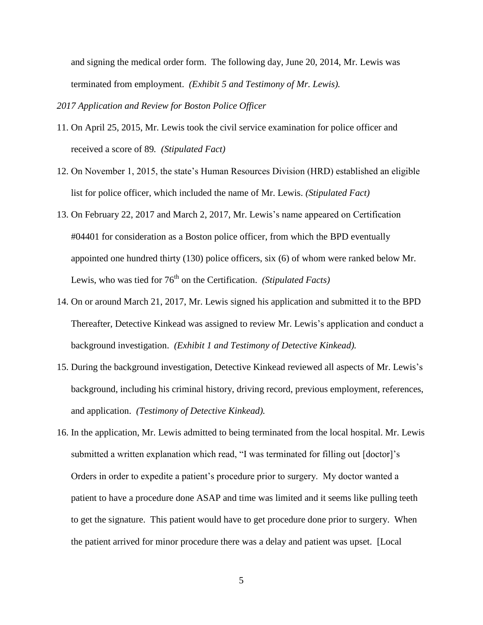and signing the medical order form. The following day, June 20, 2014, Mr. Lewis was terminated from employment. *(Exhibit 5 and Testimony of Mr. Lewis).*

*2017 Application and Review for Boston Police Officer*

- 11. On April 25, 2015, Mr. Lewis took the civil service examination for police officer and received a score of 89*. (Stipulated Fact)*
- 12. On November 1, 2015, the state's Human Resources Division (HRD) established an eligible list for police officer, which included the name of Mr. Lewis. *(Stipulated Fact)*
- 13. On February 22, 2017 and March 2, 2017, Mr. Lewis's name appeared on Certification #04401 for consideration as a Boston police officer, from which the BPD eventually appointed one hundred thirty (130) police officers, six (6) of whom were ranked below Mr. Lewis, who was tied for 76<sup>th</sup> on the Certification. *(Stipulated Facts)*
- 14. On or around March 21, 2017, Mr. Lewis signed his application and submitted it to the BPD Thereafter, Detective Kinkead was assigned to review Mr. Lewis's application and conduct a background investigation. *(Exhibit 1 and Testimony of Detective Kinkead).*
- 15. During the background investigation, Detective Kinkead reviewed all aspects of Mr. Lewis's background, including his criminal history, driving record, previous employment, references, and application. *(Testimony of Detective Kinkead).*
- 16. In the application, Mr. Lewis admitted to being terminated from the local hospital. Mr. Lewis submitted a written explanation which read, "I was terminated for filling out [doctor]'s Orders in order to expedite a patient's procedure prior to surgery. My doctor wanted a patient to have a procedure done ASAP and time was limited and it seems like pulling teeth to get the signature. This patient would have to get procedure done prior to surgery. When the patient arrived for minor procedure there was a delay and patient was upset. [Local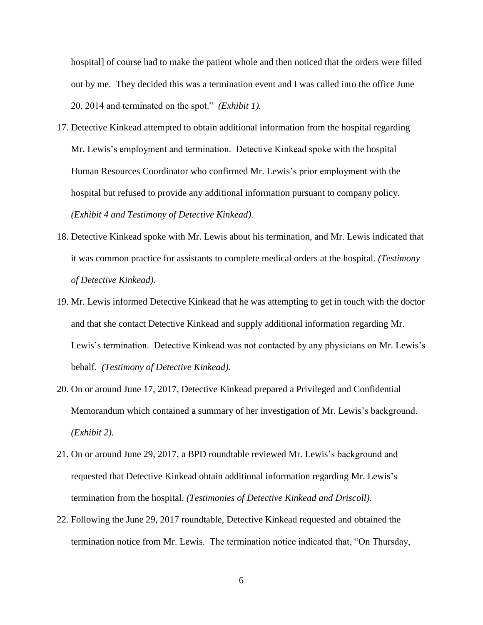hospital] of course had to make the patient whole and then noticed that the orders were filled out by me. They decided this was a termination event and I was called into the office June 20, 2014 and terminated on the spot." *(Exhibit 1).*

- 17. Detective Kinkead attempted to obtain additional information from the hospital regarding Mr. Lewis's employment and termination. Detective Kinkead spoke with the hospital Human Resources Coordinator who confirmed Mr. Lewis's prior employment with the hospital but refused to provide any additional information pursuant to company policy. *(Exhibit 4 and Testimony of Detective Kinkead).*
- 18. Detective Kinkead spoke with Mr. Lewis about his termination, and Mr. Lewis indicated that it was common practice for assistants to complete medical orders at the hospital. *(Testimony of Detective Kinkead).*
- 19. Mr. Lewis informed Detective Kinkead that he was attempting to get in touch with the doctor and that she contact Detective Kinkead and supply additional information regarding Mr. Lewis's termination. Detective Kinkead was not contacted by any physicians on Mr. Lewis's behalf. *(Testimony of Detective Kinkead).*
- 20. On or around June 17, 2017, Detective Kinkead prepared a Privileged and Confidential Memorandum which contained a summary of her investigation of Mr. Lewis's background. *(Exhibit 2).*
- 21. On or around June 29, 2017, a BPD roundtable reviewed Mr. Lewis's background and requested that Detective Kinkead obtain additional information regarding Mr. Lewis's termination from the hospital. *(Testimonies of Detective Kinkead and Driscoll).*
- 22. Following the June 29, 2017 roundtable, Detective Kinkead requested and obtained the termination notice from Mr. Lewis. The termination notice indicated that, "On Thursday,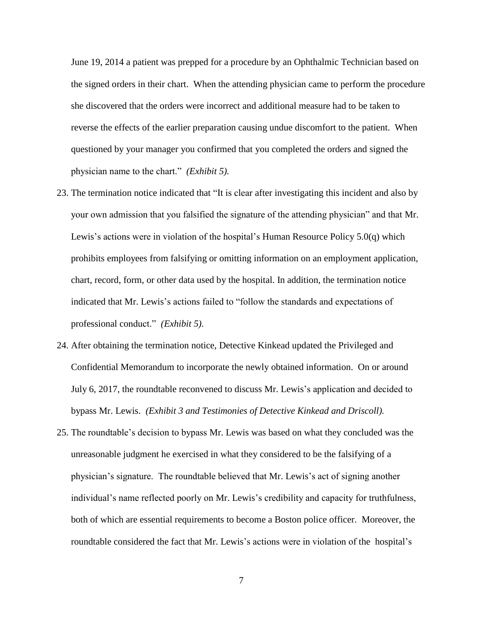June 19, 2014 a patient was prepped for a procedure by an Ophthalmic Technician based on the signed orders in their chart. When the attending physician came to perform the procedure she discovered that the orders were incorrect and additional measure had to be taken to reverse the effects of the earlier preparation causing undue discomfort to the patient. When questioned by your manager you confirmed that you completed the orders and signed the physician name to the chart." *(Exhibit 5).*

- 23. The termination notice indicated that "It is clear after investigating this incident and also by your own admission that you falsified the signature of the attending physician" and that Mr. Lewis's actions were in violation of the hospital's Human Resource Policy 5.0(q) which prohibits employees from falsifying or omitting information on an employment application, chart, record, form, or other data used by the hospital. In addition, the termination notice indicated that Mr. Lewis's actions failed to "follow the standards and expectations of professional conduct." *(Exhibit 5)*.
- 24. After obtaining the termination notice, Detective Kinkead updated the Privileged and Confidential Memorandum to incorporate the newly obtained information. On or around July 6, 2017, the roundtable reconvened to discuss Mr. Lewis's application and decided to bypass Mr. Lewis. *(Exhibit 3 and Testimonies of Detective Kinkead and Driscoll).*
- 25. The roundtable's decision to bypass Mr. Lewis was based on what they concluded was the unreasonable judgment he exercised in what they considered to be the falsifying of a physician's signature. The roundtable believed that Mr. Lewis's act of signing another individual's name reflected poorly on Mr. Lewis's credibility and capacity for truthfulness, both of which are essential requirements to become a Boston police officer. Moreover, the roundtable considered the fact that Mr. Lewis's actions were in violation of the hospital's

7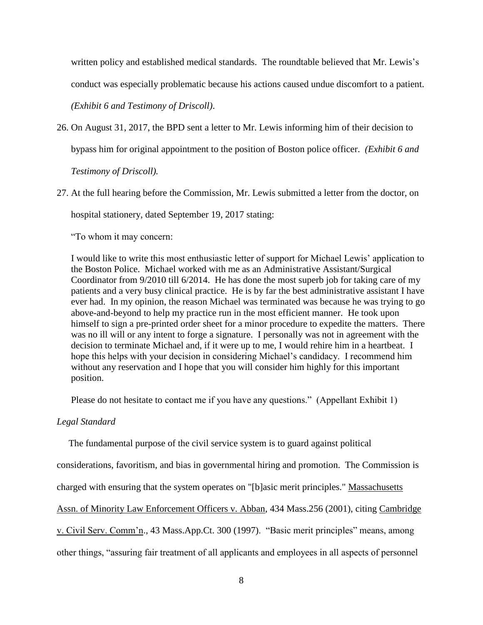written policy and established medical standards. The roundtable believed that Mr. Lewis's conduct was especially problematic because his actions caused undue discomfort to a patient. *(Exhibit 6 and Testimony of Driscoll)*.

- 26. On August 31, 2017, the BPD sent a letter to Mr. Lewis informing him of their decision to bypass him for original appointment to the position of Boston police officer. *(Exhibit 6 and Testimony of Driscoll).*
- 27. At the full hearing before the Commission, Mr. Lewis submitted a letter from the doctor, on hospital stationery, dated September 19, 2017 stating:

"To whom it may concern:

I would like to write this most enthusiastic letter of support for Michael Lewis' application to the Boston Police. Michael worked with me as an Administrative Assistant/Surgical Coordinator from 9/2010 till 6/2014. He has done the most superb job for taking care of my patients and a very busy clinical practice. He is by far the best administrative assistant I have ever had. In my opinion, the reason Michael was terminated was because he was trying to go above-and-beyond to help my practice run in the most efficient manner. He took upon himself to sign a pre-printed order sheet for a minor procedure to expedite the matters. There was no ill will or any intent to forge a signature. I personally was not in agreement with the decision to terminate Michael and, if it were up to me, I would rehire him in a heartbeat. I hope this helps with your decision in considering Michael's candidacy. I recommend him without any reservation and I hope that you will consider him highly for this important position.

Please do not hesitate to contact me if you have any questions." (Appellant Exhibit 1)

## *Legal Standard*

The fundamental purpose of the civil service system is to guard against political

considerations, favoritism, and bias in governmental hiring and promotion. The Commission is

charged with ensuring that the system operates on "[b]asic merit principles." Massachusetts

Assn. of Minority Law Enforcement Officers v. Abban, 434 Mass.256 (2001), citing Cambridge

v. Civil Serv. Comm'n., 43 Mass.App.Ct. 300 (1997). "Basic merit principles" means, among

other things, "assuring fair treatment of all applicants and employees in all aspects of personnel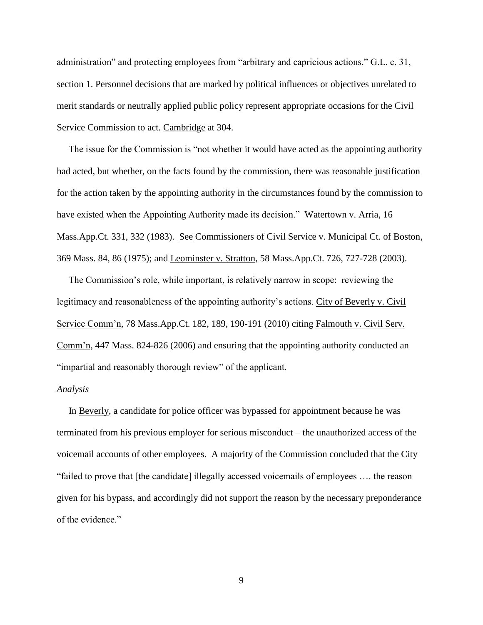administration" and protecting employees from "arbitrary and capricious actions." G.L. c. 31, section 1. Personnel decisions that are marked by political influences or objectives unrelated to merit standards or neutrally applied public policy represent appropriate occasions for the Civil Service Commission to act. Cambridge at 304.

 The issue for the Commission is "not whether it would have acted as the appointing authority had acted, but whether, on the facts found by the commission, there was reasonable justification for the action taken by the appointing authority in the circumstances found by the commission to have existed when the Appointing Authority made its decision." Watertown v. Arria, 16 Mass.App.Ct. 331, 332 (1983). See Commissioners of Civil Service v. Municipal Ct. of Boston, 369 Mass. 84, 86 (1975); and Leominster v. Stratton, 58 Mass.App.Ct. 726, 727-728 (2003).

 The Commission's role, while important, is relatively narrow in scope: reviewing the legitimacy and reasonableness of the appointing authority's actions. City of Beverly v. Civil Service Comm'n, 78 Mass.App.Ct. 182, 189, 190-191 (2010) citing Falmouth v. Civil Serv. Comm'n, 447 Mass. 824-826 (2006) and ensuring that the appointing authority conducted an "impartial and reasonably thorough review" of the applicant.

#### *Analysis*

 In Beverly, a candidate for police officer was bypassed for appointment because he was terminated from his previous employer for serious misconduct – the unauthorized access of the voicemail accounts of other employees. A majority of the Commission concluded that the City "failed to prove that [the candidate] illegally accessed voicemails of employees …. the reason given for his bypass, and accordingly did not support the reason by the necessary preponderance of the evidence."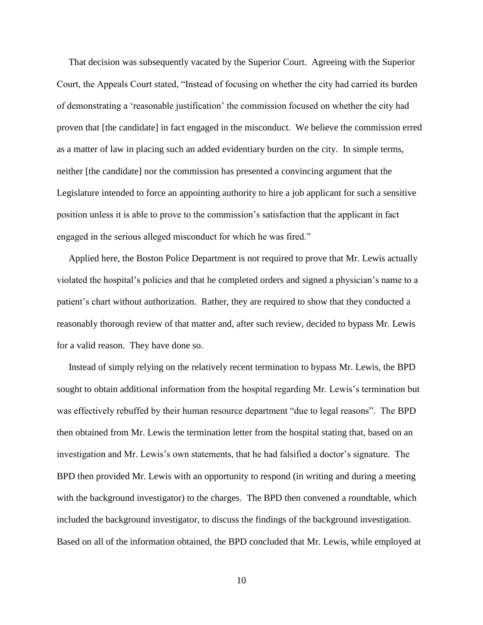That decision was subsequently vacated by the Superior Court. Agreeing with the Superior Court, the Appeals Court stated, "Instead of focusing on whether the city had carried its burden of demonstrating a 'reasonable justification' the commission focused on whether the city had proven that [the candidate] in fact engaged in the misconduct. We believe the commission erred as a matter of law in placing such an added evidentiary burden on the city. In simple terms, neither [the candidate] nor the commission has presented a convincing argument that the Legislature intended to force an appointing authority to hire a job applicant for such a sensitive position unless it is able to prove to the commission's satisfaction that the applicant in fact engaged in the serious alleged misconduct for which he was fired."

 Applied here, the Boston Police Department is not required to prove that Mr. Lewis actually violated the hospital's policies and that he completed orders and signed a physician's name to a patient's chart without authorization. Rather, they are required to show that they conducted a reasonably thorough review of that matter and, after such review, decided to bypass Mr. Lewis for a valid reason. They have done so.

 Instead of simply relying on the relatively recent termination to bypass Mr. Lewis, the BPD sought to obtain additional information from the hospital regarding Mr. Lewis's termination but was effectively rebuffed by their human resource department "due to legal reasons". The BPD then obtained from Mr. Lewis the termination letter from the hospital stating that, based on an investigation and Mr. Lewis's own statements, that he had falsified a doctor's signature. The BPD then provided Mr. Lewis with an opportunity to respond (in writing and during a meeting with the background investigator) to the charges. The BPD then convened a roundtable, which included the background investigator, to discuss the findings of the background investigation. Based on all of the information obtained, the BPD concluded that Mr. Lewis, while employed at

10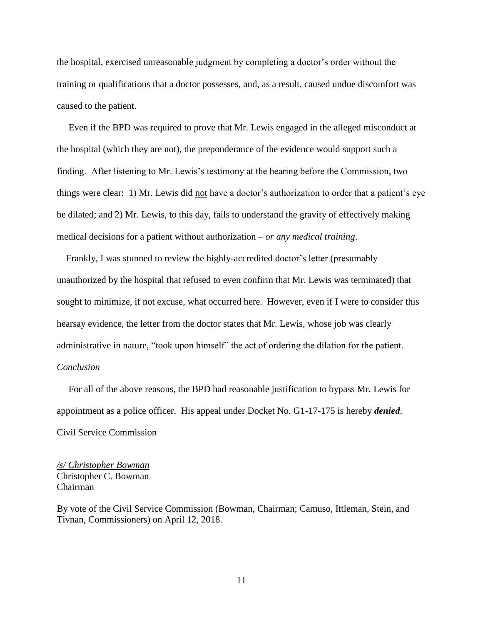the hospital, exercised unreasonable judgment by completing a doctor's order without the training or qualifications that a doctor possesses, and, as a result, caused undue discomfort was caused to the patient.

 Even if the BPD was required to prove that Mr. Lewis engaged in the alleged misconduct at the hospital (which they are not), the preponderance of the evidence would support such a finding. After listening to Mr. Lewis's testimony at the hearing before the Commission, two things were clear: 1) Mr. Lewis did not have a doctor's authorization to order that a patient's eye be dilated; and 2) Mr. Lewis, to this day, fails to understand the gravity of effectively making medical decisions for a patient without authorization – *or any medical training*.

 Frankly, I was stunned to review the highly-accredited doctor's letter (presumably unauthorized by the hospital that refused to even confirm that Mr. Lewis was terminated) that sought to minimize, if not excuse, what occurred here. However, even if I were to consider this hearsay evidence, the letter from the doctor states that Mr. Lewis, whose job was clearly administrative in nature, "took upon himself" the act of ordering the dilation for the patient. *Conclusion*

 For all of the above reasons, the BPD had reasonable justification to bypass Mr. Lewis for appointment as a police officer. His appeal under Docket No. G1-17-175 is hereby *denied*. Civil Service Commission

*/s/ Christopher Bowman* Christopher C. Bowman Chairman

By vote of the Civil Service Commission (Bowman, Chairman; Camuso, Ittleman, Stein, and Tivnan, Commissioners) on April 12, 2018.